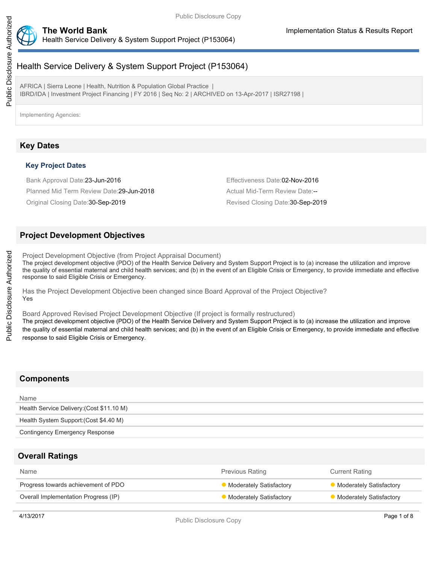

# Health Service Delivery & System Support Project (P153064)

AFRICA | Sierra Leone | Health, Nutrition & Population Global Practice | IBRD/IDA | Investment Project Financing | FY 2016 | Seq No: 2 | ARCHIVED on 13-Apr-2017 | ISR27198 |

Implementing Agencies:

## **Key Dates**

### **Key Project Dates**

Bank Approval Date:23-Jun-2016 **Effectiveness** Date:02-Nov-2016

Planned Mid Term Review Date: 29-Jun-2018 Actual Mid-Term Review Date:--

Original Closing Date: 30-Sep-2019 **Revised Closing Date: 30-Sep-2019** Revised Closing Date: 30-Sep-2019

## **Project Development Objectives**

Project Development Objective (from Project Appraisal Document)

The project development objective (PDO) of the Health Service Delivery and System Support Project is to (a) increase the utilization and improve the quality of essential maternal and child health services; and (b) in the event of an Eligible Crisis or Emergency, to provide immediate and effective response to said Eligible Crisis or Emergency.

Has the Project Development Objective been changed since Board Approval of the Project Objective? Yes

Board Approved Revised Project Development Objective (If project is formally restructured)

The project development objective (PDO) of the Health Service Delivery and System Support Project is to (a) increase the utilization and improve the quality of essential maternal and child health services; and (b) in the event of an Eligible Crisis or Emergency, to provide immediate and effective response to said Eligible Crisis or Emergency.

# **Components**

| Name                                      |  |
|-------------------------------------------|--|
| Health Service Delivery: (Cost \$11.10 M) |  |
| Health System Support: (Cost \$4.40 M)    |  |
| Contingency Emergency Response            |  |
|                                           |  |

## **Overall Ratings**

| Name                                 | <b>Previous Rating</b>         | <b>Current Rating</b>          |
|--------------------------------------|--------------------------------|--------------------------------|
| Progress towards achievement of PDO  | <b>Moderately Satisfactory</b> | <b>Moderately Satisfactory</b> |
| Overall Implementation Progress (IP) | <b>Moderately Satisfactory</b> | <b>Moderately Satisfactory</b> |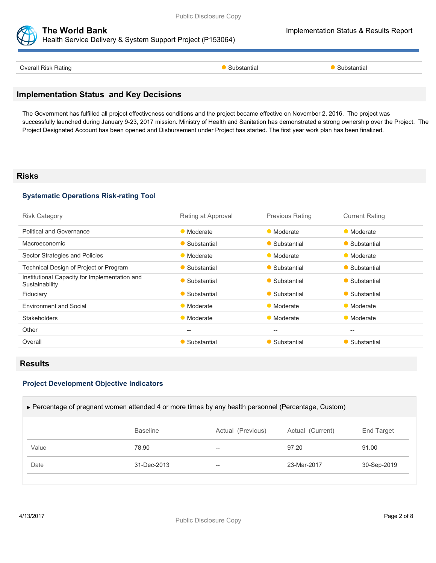

#### **The World Bank Implementation Status & Results Report** Health Service Delivery & System Support Project (P153064)

| $\sim$<br>atino | ша | antia |  |
|-----------------|----|-------|--|

## **Implementation Status and Key Decisions**

The Government has fulfilled all project effectiveness conditions and the project became effective on November 2, 2016. The project was successfully launched during January 9-23, 2017 mission. Ministry of Health and Sanitation has demonstrated a strong ownership over the Project. The Project Designated Account has been opened and Disbursement under Project has started. The first year work plan has been finalized.

### **Risks**

### **Systematic Operations Risk-rating Tool**

| Rating at Approval | <b>Previous Rating</b> | <b>Current Rating</b> |
|--------------------|------------------------|-----------------------|
| • Moderate         | • Moderate             | • Moderate            |
| • Substantial      | • Substantial          | • Substantial         |
| • Moderate         | • Moderate             | • Moderate            |
| • Substantial      | • Substantial          | • Substantial         |
| • Substantial      | • Substantial          | • Substantial         |
| • Substantial      | • Substantial          | • Substantial         |
| • Moderate         | • Moderate             | • Moderate            |
| • Moderate         | • Moderate             | • Moderate            |
| $--$               | $--$                   | $-$                   |
| • Substantial      | • Substantial          | • Substantial         |
|                    |                        |                       |

## **Results**

### **Project Development Objective Indicators**

| ► Percentage of pregnant women attended 4 or more times by any health personnel (Percentage, Custom) |                 |                   |                  |             |  |
|------------------------------------------------------------------------------------------------------|-----------------|-------------------|------------------|-------------|--|
|                                                                                                      | <b>Baseline</b> | Actual (Previous) | Actual (Current) | End Target  |  |
| Value                                                                                                | 78.90           | $- -$             | 97.20            | 91.00       |  |
| Date                                                                                                 | 31-Dec-2013     | $- -$             | 23-Mar-2017      | 30-Sep-2019 |  |
|                                                                                                      |                 |                   |                  |             |  |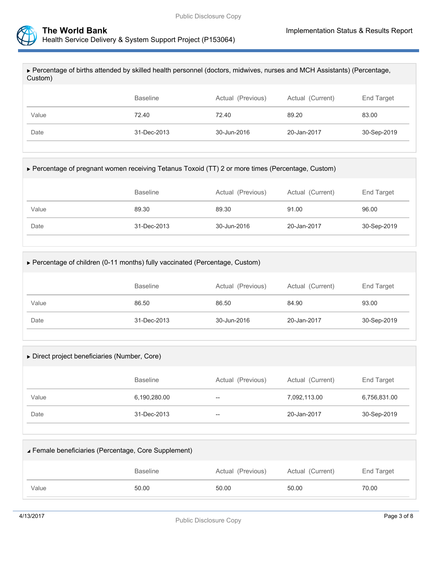

| ▶ Percentage of births attended by skilled health personnel (doctors, midwives, nurses and MCH Assistants) (Percentage,<br>Custom) |                 |                   |                  |             |  |  |
|------------------------------------------------------------------------------------------------------------------------------------|-----------------|-------------------|------------------|-------------|--|--|
|                                                                                                                                    |                 |                   |                  |             |  |  |
|                                                                                                                                    | <b>Baseline</b> | Actual (Previous) | Actual (Current) | End Target  |  |  |
| Value                                                                                                                              | 72.40           | 72.40             | 89.20            | 83.00       |  |  |
| Date                                                                                                                               | 31-Dec-2013     | 30-Jun-2016       | 20-Jan-2017      | 30-Sep-2019 |  |  |
|                                                                                                                                    |                 |                   |                  |             |  |  |

### Percentage of pregnant women receiving Tetanus Toxoid (TT) 2 or more times (Percentage, Custom)

|       | <b>Baseline</b> | Actual (Previous) | Actual (Current) | End Target  |
|-------|-----------------|-------------------|------------------|-------------|
| Value | 89.30           | 89.30             | 91.00            | 96.00       |
| Date  | 31-Dec-2013     | 30-Jun-2016       | 20-Jan-2017      | 30-Sep-2019 |

| ► Percentage of children (0-11 months) fully vaccinated (Percentage, Custom) |                 |                   |                  |             |  |
|------------------------------------------------------------------------------|-----------------|-------------------|------------------|-------------|--|
|                                                                              | <b>Baseline</b> | Actual (Previous) | Actual (Current) | End Target  |  |
| Value                                                                        | 86.50           | 86.50             | 84.90            | 93.00       |  |
| Date                                                                         | 31-Dec-2013     | 30-Jun-2016       | 20-Jan-2017      | 30-Sep-2019 |  |
|                                                                              |                 |                   |                  |             |  |

| Direct project beneficiaries (Number, Core) |                 |                   |                  |              |  |
|---------------------------------------------|-----------------|-------------------|------------------|--------------|--|
|                                             | <b>Baseline</b> | Actual (Previous) | Actual (Current) | End Target   |  |
| Value                                       | 6,190,280.00    | $- -$             | 7,092,113.00     | 6,756,831.00 |  |
| Date                                        | 31-Dec-2013     | $- -$             | 20-Jan-2017      | 30-Sep-2019  |  |
|                                             |                 |                   |                  |              |  |

| Female beneficiaries (Percentage, Core Supplement) |                 |                   |                  |            |  |
|----------------------------------------------------|-----------------|-------------------|------------------|------------|--|
|                                                    | <b>Baseline</b> | Actual (Previous) | Actual (Current) | End Target |  |
| Value                                              | 50.00           | 50.00             | 50.00            | 70.00      |  |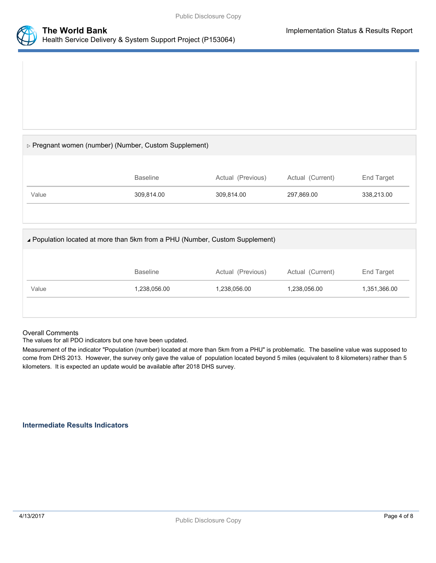



### $\triangleright$  Pregnant women (number) (Number, Custom Supplement)

|       | Baseline   | Actual (Previous) | Actual (Current) | End Target |
|-------|------------|-------------------|------------------|------------|
| Value | 309.814.00 | 309.814.00        | 297,869.00       | 338,213.00 |

#### Population located at more than 5km from a PHU (Number, Custom Supplement)

|       | <b>Baseline</b> | Actual (Previous) | Actual (Current) | End Target   |
|-------|-----------------|-------------------|------------------|--------------|
| Value | 1,238,056.00    | 1,238,056.00      | 1,238,056.00     | 1,351,366.00 |
|       |                 |                   |                  |              |

#### Overall Comments

The values for all PDO indicators but one have been updated.

Measurement of the indicator "Population (number) located at more than 5km from a PHU" is problematic. The baseline value was supposed to come from DHS 2013. However, the survey only gave the value of population located beyond 5 miles (equivalent to 8 kilometers) rather than 5 kilometers. It is expected an update would be available after 2018 DHS survey.

#### **Intermediate Results Indicators**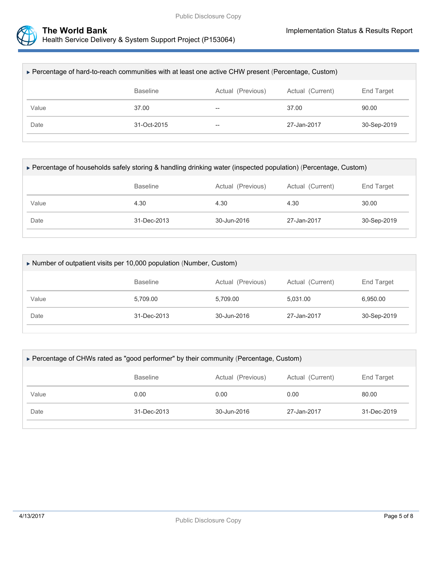

| ▶ Percentage of hard-to-reach communities with at least one active CHW present (Percentage, Custom) |                 |                          |             |             |  |
|-----------------------------------------------------------------------------------------------------|-----------------|--------------------------|-------------|-------------|--|
| Actual (Current)<br>End Target<br><b>Baseline</b><br>Actual (Previous)                              |                 |                          |             |             |  |
| Value                                                                                               | 37.00           | $\overline{\phantom{m}}$ | 37.00       | 90.00       |  |
| Date                                                                                                | $31 - Oct-2015$ | $\hspace{0.05cm}$        | 27-Jan-2017 | 30-Sep-2019 |  |
|                                                                                                     |                 |                          |             |             |  |

| ► Percentage of households safely storing & handling drinking water (inspected population) (Percentage, Custom) |             |             |             |             |  |
|-----------------------------------------------------------------------------------------------------------------|-------------|-------------|-------------|-------------|--|
| Actual (Current)<br><b>Baseline</b><br>Actual (Previous)<br>End Target                                          |             |             |             |             |  |
| Value                                                                                                           | 4.30        | 4.30        | 4.30        | 30.00       |  |
| Date                                                                                                            | 31-Dec-2013 | 30-Jun-2016 | 27-Jan-2017 | 30-Sep-2019 |  |

| $\triangleright$ Number of outpatient visits per 10,000 population (Number, Custom) |                  |             |             |             |  |
|-------------------------------------------------------------------------------------|------------------|-------------|-------------|-------------|--|
|                                                                                     | Actual (Current) | End Target  |             |             |  |
| Value                                                                               | 5,709.00         | 5,709.00    | 5,031.00    | 6,950.00    |  |
| Date                                                                                | 31-Dec-2013      | 30-Jun-2016 | 27-Jan-2017 | 30-Sep-2019 |  |
|                                                                                     |                  |             |             |             |  |

| ► Percentage of CHWs rated as "good performer" by their community (Percentage, Custom) |                  |             |             |             |  |
|----------------------------------------------------------------------------------------|------------------|-------------|-------------|-------------|--|
|                                                                                        | Actual (Current) | End Target  |             |             |  |
| Value                                                                                  | 0.00             | 0.00        | 0.00        | 80.00       |  |
| Date                                                                                   | 31-Dec-2013      | 30-Jun-2016 | 27-Jan-2017 | 31-Dec-2019 |  |
|                                                                                        |                  |             |             |             |  |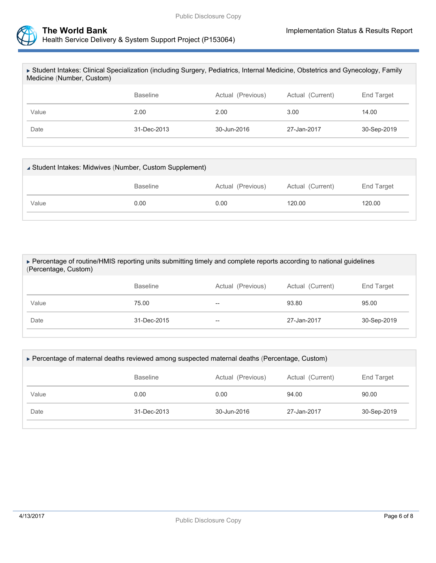

| ► Student Intakes: Clinical Specialization (including Surgery, Pediatrics, Internal Medicine, Obstetrics and Gynecology, Family<br>Medicine (Number, Custom) |                   |                       |             |             |  |  |
|--------------------------------------------------------------------------------------------------------------------------------------------------------------|-------------------|-----------------------|-------------|-------------|--|--|
| Actual (Current)<br><b>Baseline</b><br><b>End Target</b><br>Actual (Previous)                                                                                |                   |                       |             |             |  |  |
| Value                                                                                                                                                        | 2.00              | 2.00                  | 3.00        | 14.00       |  |  |
| Date                                                                                                                                                         | $31 - Dec - 2013$ | $30 - \frac{1}{2016}$ | 27-Jan-2017 | 30-Sep-2019 |  |  |
|                                                                                                                                                              |                   |                       |             |             |  |  |

| ▲ Student Intakes: Midwives (Number, Custom Supplement) |                 |      |                  |            |  |
|---------------------------------------------------------|-----------------|------|------------------|------------|--|
|                                                         | <b>Baseline</b> |      | Actual (Current) | End Target |  |
| Value                                                   | 0.00            | 0.00 | 120.00           | 120.00     |  |
|                                                         |                 |      |                  |            |  |

| ► Percentage of routine/HMIS reporting units submitting timely and complete reports according to national guidelines<br>(Percentage, Custom) |                                                                        |    |             |             |  |  |
|----------------------------------------------------------------------------------------------------------------------------------------------|------------------------------------------------------------------------|----|-------------|-------------|--|--|
|                                                                                                                                              | <b>Baseline</b><br>Actual (Previous)<br>Actual (Current)<br>End Target |    |             |             |  |  |
| Value                                                                                                                                        | 75.00                                                                  | -- | 93.80       | 95.00       |  |  |
| Date                                                                                                                                         | $31 - Dec - 2015$                                                      | -- | 27-Jan-2017 | 30-Sep-2019 |  |  |
|                                                                                                                                              |                                                                        |    |             |             |  |  |

| ▶ Percentage of maternal deaths reviewed among suspected maternal deaths (Percentage, Custom) |                   |             |             |             |  |
|-----------------------------------------------------------------------------------------------|-------------------|-------------|-------------|-------------|--|
| Actual (Previous)<br>Actual (Current)<br><b>Baseline</b><br>End Target                        |                   |             |             |             |  |
| Value                                                                                         | 0.00              | 0.00        | 94.00       | 90.00       |  |
| Date                                                                                          | $31 - Dec - 2013$ | 30-Jun-2016 | 27-Jan-2017 | 30-Sep-2019 |  |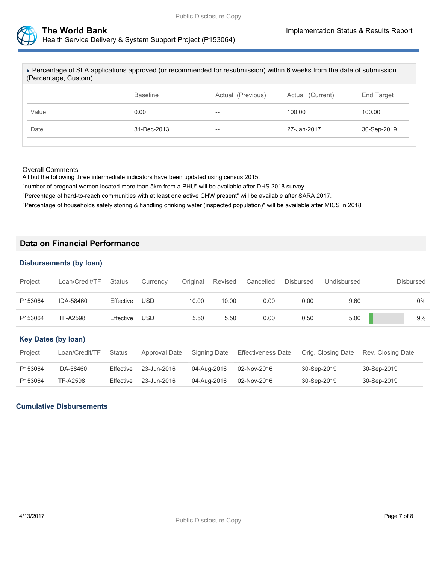

| ► Percentage of SLA applications approved (or recommended for resubmission) within 6 weeks from the date of submission<br>(Percentage, Custom) |                                                          |    |             |             |  |  |
|------------------------------------------------------------------------------------------------------------------------------------------------|----------------------------------------------------------|----|-------------|-------------|--|--|
|                                                                                                                                                | <b>Baseline</b><br>Actual (Previous)<br>Actual (Current) |    |             |             |  |  |
| Value                                                                                                                                          | 0.00                                                     | -- | 100.00      | 100.00      |  |  |
| Date                                                                                                                                           | $31 - Dec - 2013$                                        | -- | 27-Jan-2017 | 30-Sep-2019 |  |  |
|                                                                                                                                                |                                                          |    |             |             |  |  |

#### Overall Comments

All but the following three intermediate indicators have been updated using census 2015.

"number of pregnant women located more than 5km from a PHU" will be available after DHS 2018 survey.

"Percentage of hard-to-reach communities with at least one active CHW present" will be available after SARA 2017.

"Percentage of households safely storing & handling drinking water (inspected population)" will be available after MICS in 2018

### **Data on Financial Performance**

#### **Disbursements (by loan)**

| Project                    | Loan/Credit/TF  | <b>Status</b> | Currency      | Original | Revised      | Cancelled                 | <b>Disbursed</b> | Undisbursed        |                   | <b>Disbursed</b> |
|----------------------------|-----------------|---------------|---------------|----------|--------------|---------------------------|------------------|--------------------|-------------------|------------------|
| P153064                    | IDA-58460       | Effective     | <b>USD</b>    | 10.00    | 10.00        | 0.00                      | 0.00             | 9.60               |                   | $0\%$            |
| P153064                    | <b>TF-A2598</b> | Effective     | <b>USD</b>    | 5.50     | 5.50         | 0.00                      | 0.50             | 5.00               |                   | 9%               |
| <b>Key Dates (by loan)</b> |                 |               |               |          |              |                           |                  |                    |                   |                  |
| Project                    | Loan/Credit/TF  | <b>Status</b> | Approval Date |          | Signing Date | <b>Effectiveness Date</b> |                  | Orig. Closing Date | Rev. Closing Date |                  |
| P153064                    | IDA-58460       | Effective     | 23-Jun-2016   |          | 04-Aug-2016  | 02-Nov-2016               | 30-Sep-2019      |                    | 30-Sep-2019       |                  |
| P153064                    | <b>TF-A2598</b> | Effective     | 23-Jun-2016   |          | 04-Aug-2016  | 02-Nov-2016               | 30-Sep-2019      |                    | 30-Sep-2019       |                  |

### **Cumulative Disbursements**